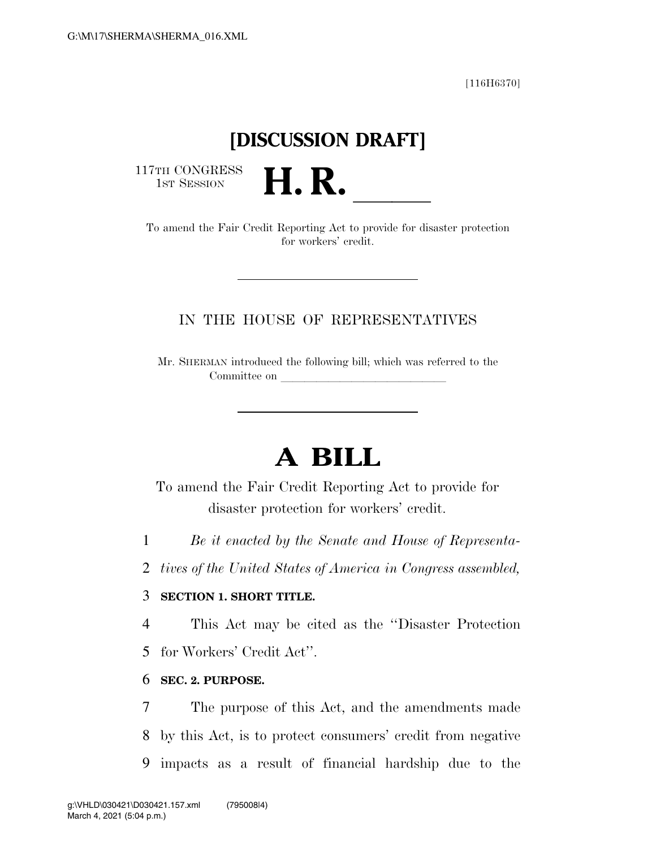[116H6370]

## **[DISCUSSION DRAFT]**

117TH CONGRESS<br>1st Session

TH CONGRESS<br>
1ST SESSION<br>
To amend the Fair Credit Reporting Act to provide for disaster protection for workers' credit.

#### IN THE HOUSE OF REPRESENTATIVES

Mr. SHERMAN introduced the following bill; which was referred to the Committee on

# **A BILL**

To amend the Fair Credit Reporting Act to provide for disaster protection for workers' credit.

1 *Be it enacted by the Senate and House of Representa-*

2 *tives of the United States of America in Congress assembled,* 

#### 3 **SECTION 1. SHORT TITLE.**

4 This Act may be cited as the ''Disaster Protection

5 for Workers' Credit Act''.

#### 6 **SEC. 2. PURPOSE.**

7 The purpose of this Act, and the amendments made 8 by this Act, is to protect consumers' credit from negative 9 impacts as a result of financial hardship due to the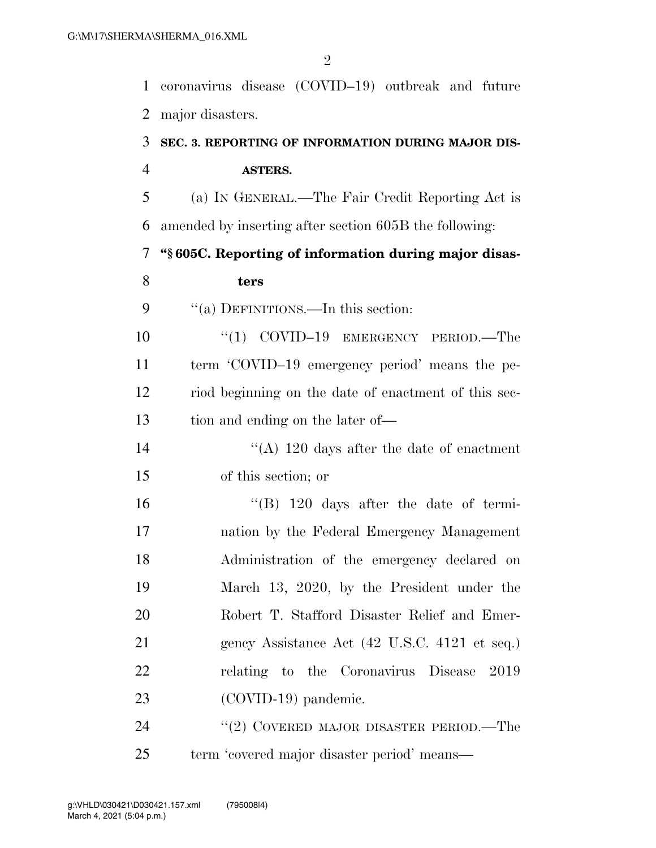coronavirus disease (COVID–19) outbreak and future major disasters.

### **SEC. 3. REPORTING OF INFORMATION DURING MAJOR DIS-ASTERS.**

 (a) IN GENERAL.—The Fair Credit Reporting Act is amended by inserting after section 605B the following:

**''§ 605C. Reporting of information during major disas-**

#### **ters**

#### 9 "(a) DEFINITIONS.—In this section:

10 "(1) COVID-19 EMERGENCY PERIOD.—The term 'COVID–19 emergency period' means the pe- riod beginning on the date of enactment of this sec-tion and ending on the later of—

14 ''(A) 120 days after the date of enactment of this section; or

 ''(B) 120 days after the date of termi- nation by the Federal Emergency Management Administration of the emergency declared on March 13, 2020, by the President under the Robert T. Stafford Disaster Relief and Emer-21 gency Assistance Act (42 U.S.C. 4121 et seq.) relating to the Coronavirus Disease 2019 23 (COVID-19) pandemic.

24 ''(2) COVERED MAJOR DISASTER PERIOD.—The term 'covered major disaster period' means—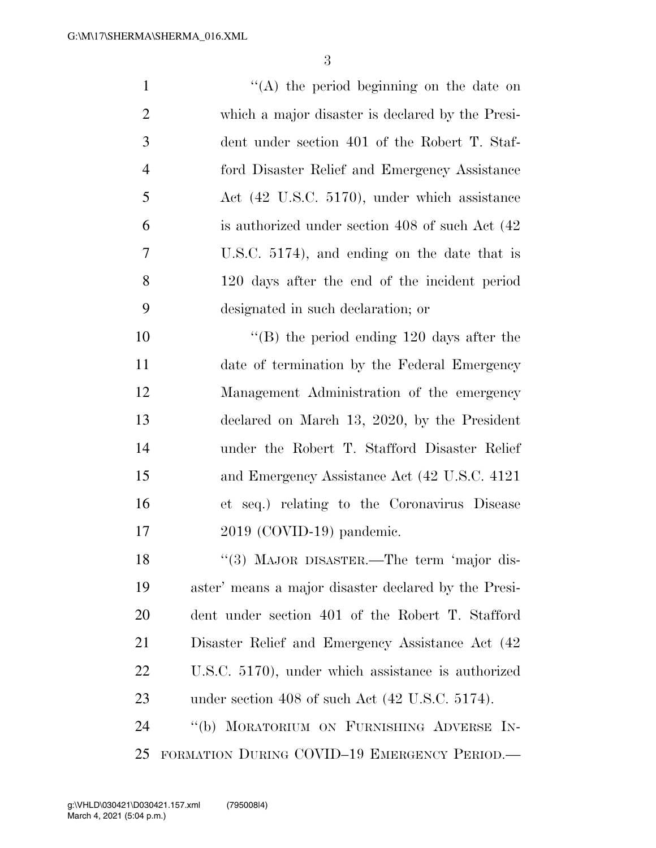| 1              | $\lq\lq$ (A) the period beginning on the date on     |
|----------------|------------------------------------------------------|
| $\overline{2}$ | which a major disaster is declared by the Presi-     |
| 3              | dent under section 401 of the Robert T. Staf-        |
| $\overline{4}$ | ford Disaster Relief and Emergency Assistance        |
| 5              | Act (42 U.S.C. 5170), under which assistance         |
| 6              | is authorized under section 408 of such Act (42)     |
| 7              | U.S.C. $5174$ ), and ending on the date that is      |
| 8              | 120 days after the end of the incident period        |
| 9              | designated in such declaration; or                   |
| 10             | $\lq$ (B) the period ending 120 days after the       |
| 11             | date of termination by the Federal Emergency         |
| 12             | Management Administration of the emergency           |
| 13             | declared on March 13, 2020, by the President         |
| 14             | under the Robert T. Stafford Disaster Relief         |
| 15             | and Emergency Assistance Act (42 U.S.C. 4121)        |
| 16             | et seq.) relating to the Coronavirus Disease         |
| 17             | $2019$ (COVID-19) pandemic.                          |
| 18             | "(3) MAJOR DISASTER.—The term 'major dis-            |
| 19             | aster' means a major disaster declared by the Presi- |
| 20             | dent under section 401 of the Robert T. Stafford     |
| 21             | Disaster Relief and Emergency Assistance Act (42)    |
| 22             | U.S.C. 5170), under which assistance is authorized   |
| 23             | under section 408 of such Act (42 U.S.C. 5174).      |
| 24             | "(b) MORATORIUM ON FURNISHING ADVERSE IN-            |
| 25             | FORMATION DURING COVID-19 EMERGENCY PERIOD.          |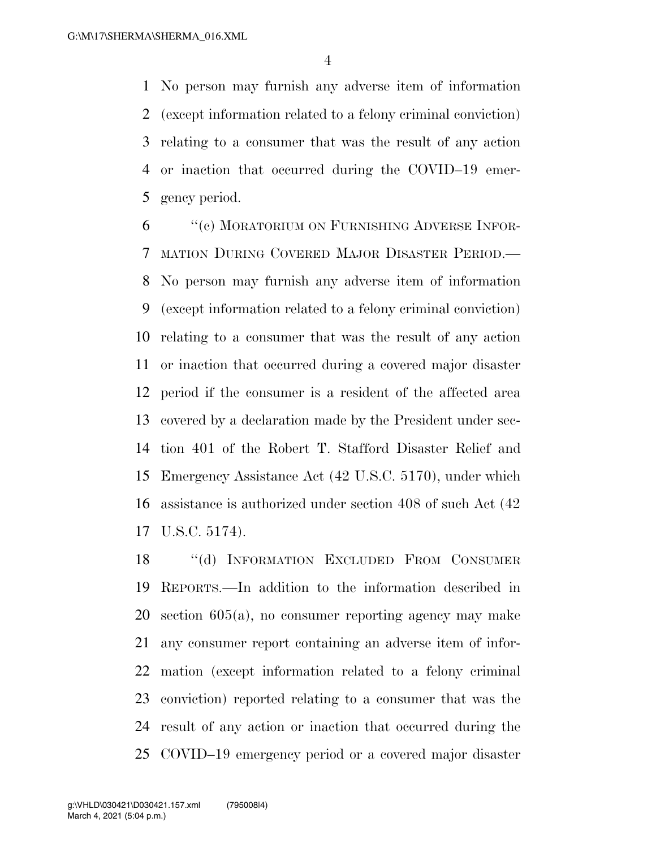No person may furnish any adverse item of information (except information related to a felony criminal conviction) relating to a consumer that was the result of any action or inaction that occurred during the COVID–19 emer-gency period.

 ''(c) MORATORIUM ON FURNISHING ADVERSE INFOR- MATION DURING COVERED MAJOR DISASTER PERIOD.— No person may furnish any adverse item of information (except information related to a felony criminal conviction) relating to a consumer that was the result of any action or inaction that occurred during a covered major disaster period if the consumer is a resident of the affected area covered by a declaration made by the President under sec- tion 401 of the Robert T. Stafford Disaster Relief and Emergency Assistance Act (42 U.S.C. 5170), under which assistance is authorized under section 408 of such Act (42 U.S.C. 5174).

 ''(d) INFORMATION EXCLUDED FROM CONSUMER REPORTS.—In addition to the information described in section 605(a), no consumer reporting agency may make any consumer report containing an adverse item of infor- mation (except information related to a felony criminal conviction) reported relating to a consumer that was the result of any action or inaction that occurred during the COVID–19 emergency period or a covered major disaster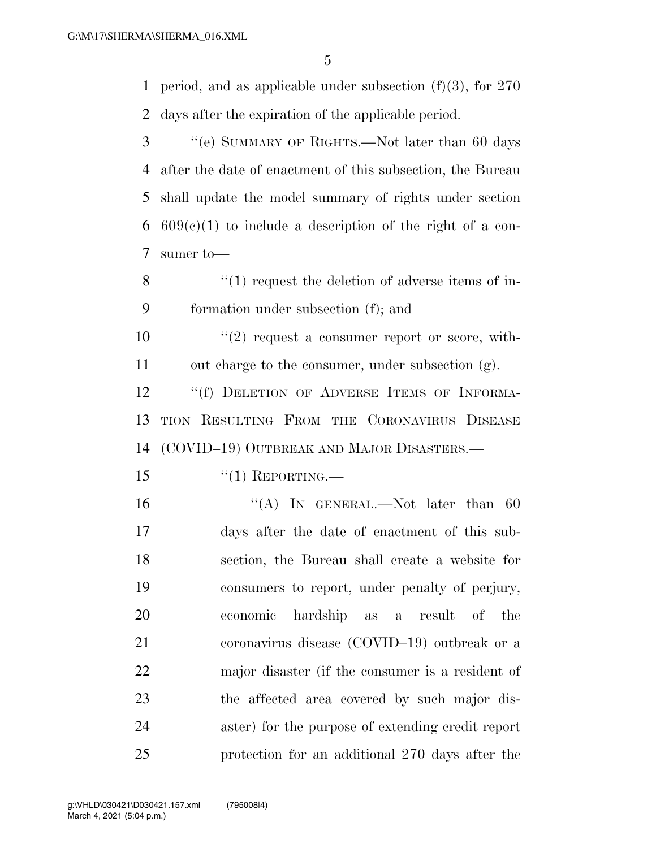period, and as applicable under subsection (f)(3), for 270 days after the expiration of the applicable period.

- ''(e) SUMMARY OF RIGHTS.—Not later than 60 days after the date of enactment of this subsection, the Bureau shall update the model summary of rights under section 6  $609(c)(1)$  to include a description of the right of a con-sumer to—
- 8 ''(1) request the deletion of adverse items of in-formation under subsection (f); and
- ''(2) request a consumer report or score, with-out charge to the consumer, under subsection (g).

12 "If DELETION OF ADVERSE ITEMS OF INFORMA- TION RESULTING FROM THE CORONAVIRUS DISEASE (COVID–19) OUTBREAK AND MAJOR DISASTERS.—

- ''(1) REPORTING.—
- 16 "(A) In GENERAL.—Not later than 60 days after the date of enactment of this sub- section, the Bureau shall create a website for consumers to report, under penalty of perjury, economic hardship as a result of the coronavirus disease (COVID–19) outbreak or a major disaster (if the consumer is a resident of the affected area covered by such major dis- aster) for the purpose of extending credit report protection for an additional 270 days after the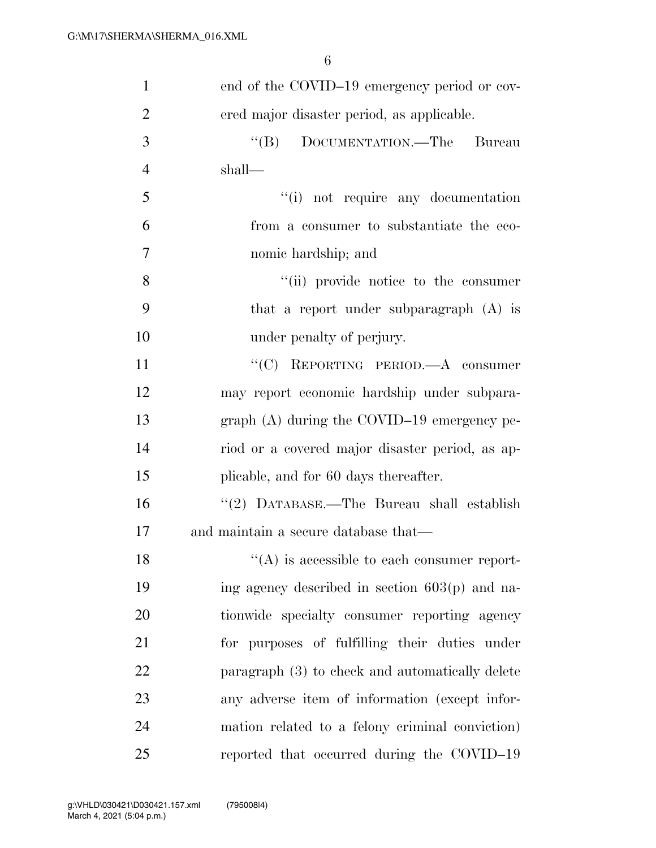| $\mathbf{1}$   | end of the COVID-19 emergency period or cov-        |
|----------------|-----------------------------------------------------|
| $\overline{2}$ | ered major disaster period, as applicable.          |
| 3              | "(B) DOCUMENTATION.—The Bureau                      |
| $\overline{4}$ | shall—                                              |
| 5              | "(i) not require any documentation                  |
| 6              | from a consumer to substantiate the eco-            |
| 7              | nomic hardship; and                                 |
| 8              | "(ii) provide notice to the consumer                |
| 9              | that a report under subparagraph $(A)$ is           |
| 10             | under penalty of perjury.                           |
| 11             | "(C) REPORTING PERIOD.—A consumer                   |
| 12             | may report economic hardship under subpara-         |
| 13             | graph $(A)$ during the COVID-19 emergency pe-       |
| 14             | riod or a covered major disaster period, as ap-     |
| 15             | plicable, and for 60 days thereafter.               |
| 16             | "(2) DATABASE.—The Bureau shall establish           |
| 17             | and maintain a secure database that—                |
| 18             | $\lq\lq$ (A) is accessible to each consumer report- |
| 19             | ing agency described in section $603(p)$ and na-    |
| 20             | tionwide specialty consumer reporting agency        |
| 21             | for purposes of fulfilling their duties under       |
| 22             | paragraph (3) to check and automatically delete     |
| 23             | any adverse item of information (except infor-      |
| 24             | mation related to a felony criminal conviction)     |
| 25             | reported that occurred during the COVID-19          |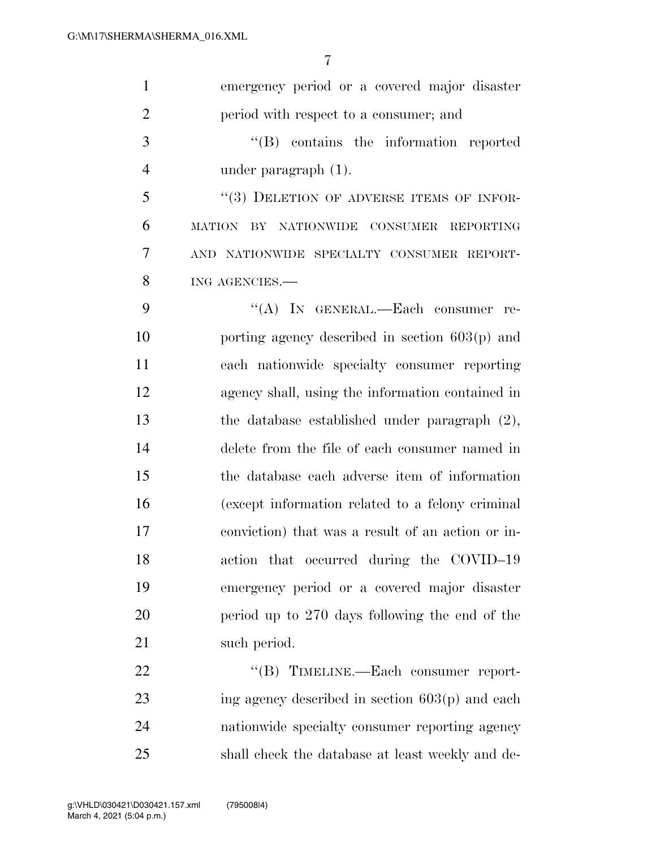| $\mathbf{1}$   | emergency period or a covered major disaster      |
|----------------|---------------------------------------------------|
| $\overline{2}$ | period with respect to a consumer; and            |
| 3              | $\lq\lq$ contains the information reported        |
| $\overline{4}$ | under paragraph $(1)$ .                           |
| 5              | "(3) DELETION OF ADVERSE ITEMS OF INFOR-          |
| 6              | MATION BY NATIONWIDE CONSUMER REPORTING           |
| 7              | AND NATIONWIDE SPECIALTY CONSUMER REPORT-         |
| 8              | ING AGENCIES.                                     |
| 9              | "(A) IN GENERAL.—Each consumer re-                |
| 10             | porting agency described in section $603(p)$ and  |
| 11             | each nationwide specialty consumer reporting      |
| 12             | agency shall, using the information contained in  |
| 13             | the database established under paragraph $(2)$ ,  |
| 14             | delete from the file of each consumer named in    |
| 15             | the database each adverse item of information     |
| 16             | (except information related to a felony criminal  |
| 17             | conviction) that was a result of an action or in- |
| 18             | action that occurred during the COVID-19          |
| 19             | emergency period or a covered major disaster      |
| 20             | period up to 270 days following the end of the    |
| 21             | such period.                                      |
| 22             | "(B) TIMELINE.—Each consumer report-              |
| 23             | ing agency described in section $603(p)$ and each |
| 24             | nationwide specialty consumer reporting agency    |
| 25             | shall check the database at least weekly and de-  |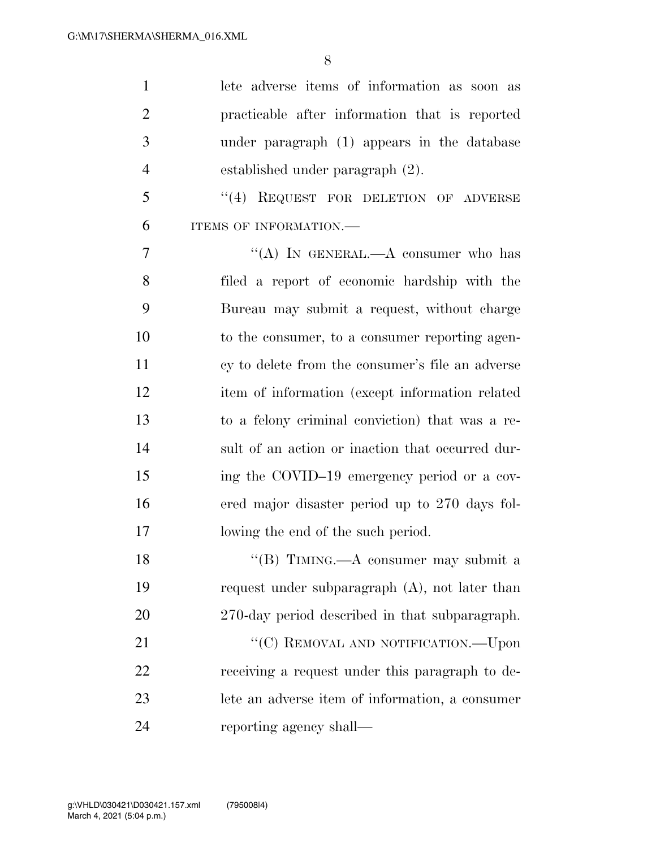| $\mathbf{1}$   | lete adverse items of information as soon as      |
|----------------|---------------------------------------------------|
| $\overline{2}$ | practicable after information that is reported    |
| 3              | under paragraph (1) appears in the database       |
| $\overline{4}$ | established under paragraph (2).                  |
| 5              | "(4) REQUEST FOR DELETION OF ADVERSE              |
| 6              | ITEMS OF INFORMATION.-                            |
| 7              | "(A) IN GENERAL.—A consumer who has               |
| 8              | filed a report of economic hardship with the      |
| 9              | Bureau may submit a request, without charge       |
| 10             | to the consumer, to a consumer reporting agen-    |
| 11             | cy to delete from the consumer's file an adverse  |
| 12             | item of information (except information related   |
| 13             | to a felony criminal conviction) that was a re-   |
| 14             | sult of an action or inaction that occurred dur-  |
| 15             | ing the COVID-19 emergency period or a cov-       |
| 16             | ered major disaster period up to 270 days fol-    |
| 17             | lowing the end of the such period.                |
| 18             | "(B) TIMING.—A consumer may submit a              |
| 19             | request under subparagraph $(A)$ , not later than |
| 20             | 270-day period described in that subparagraph.    |
| 21             | "(C) REMOVAL AND NOTIFICATION.—Upon               |
| 22             | receiving a request under this paragraph to de-   |
| 23             | lete an adverse item of information, a consumer   |
| 24             | reporting agency shall—                           |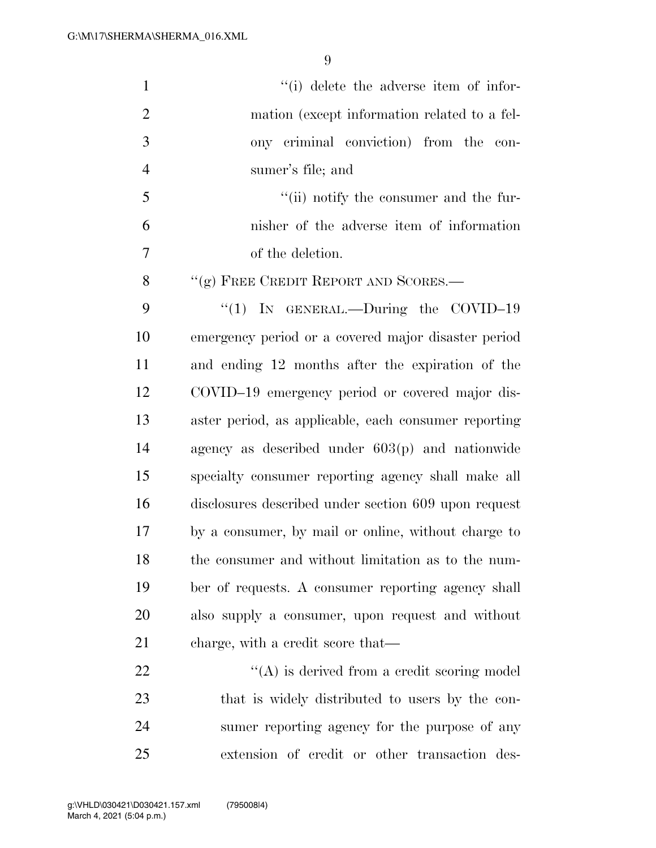| $\mathbf{1}$   | "(i) delete the adverse item of infor-               |
|----------------|------------------------------------------------------|
| $\overline{2}$ | mation (except information related to a fel-         |
| 3              | ony criminal conviction) from the con-               |
| $\overline{4}$ | sumer's file; and                                    |
| 5              | "(ii) notify the consumer and the fur-               |
| 6              | nisher of the adverse item of information            |
| 7              | of the deletion.                                     |
| 8              | "(g) FREE CREDIT REPORT AND SCORES.—                 |
| 9              | "(1) IN GENERAL.—During the COVID-19                 |
| 10             | emergency period or a covered major disaster period  |
| 11             | and ending 12 months after the expiration of the     |
| 12             | COVID-19 emergency period or covered major dis-      |
| 13             | aster period, as applicable, each consumer reporting |
| 14             | agency as described under $603(p)$ and nationwide    |
| 15             | specialty consumer reporting agency shall make all   |
| 16             | disclosures described under section 609 upon request |
| 17             | by a consumer, by mail or online, without charge to  |
| 18             | the consumer and without limitation as to the num-   |
| 19             | ber of requests. A consumer reporting agency shall   |
| 20             | also supply a consumer, upon request and without     |
| 21             | charge, with a credit score that—                    |
| 22             | $\lq\lq$ is derived from a credit scoring model      |
| 23             | that is widely distributed to users by the con-      |
| 24             | sumer reporting agency for the purpose of any        |
| 25             | extension of credit or other transaction des-        |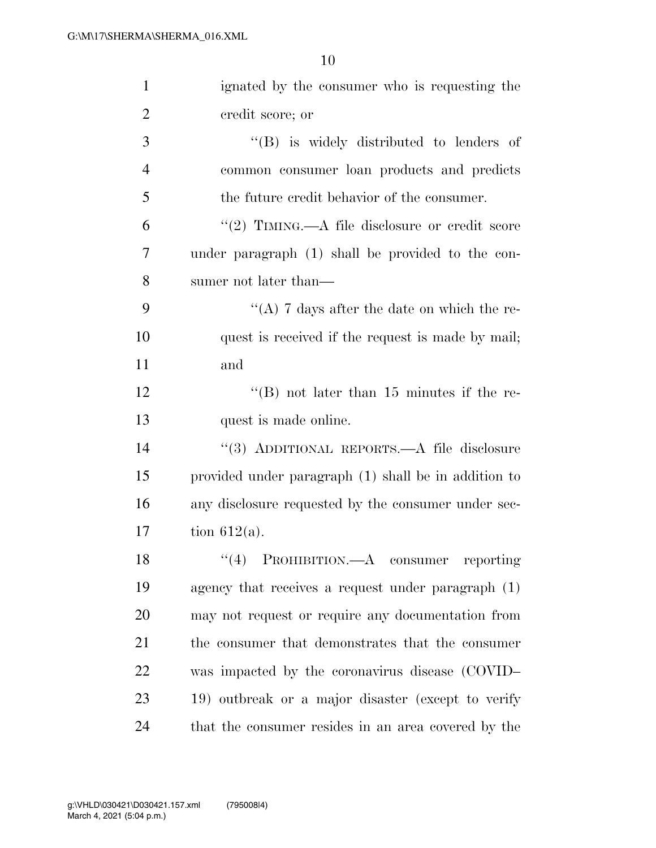| $\mathbf{1}$   | ignated by the consumer who is requesting the        |
|----------------|------------------------------------------------------|
| $\overline{2}$ | credit score; or                                     |
| 3              | $\lq\lq$ is widely distributed to lenders of         |
| $\overline{4}$ | common consumer loan products and predicts           |
| 5              | the future credit behavior of the consumer.          |
| 6              | "(2) TIMING.—A file disclosure or credit score       |
| 7              | under paragraph (1) shall be provided to the con-    |
| 8              | sumer not later than—                                |
| 9              | "(A) 7 days after the date on which the re-          |
| 10             | quest is received if the request is made by mail;    |
| 11             | and                                                  |
| 12             | "(B) not later than $15$ minutes if the re-          |
| 13             | quest is made online.                                |
| 14             | "(3) ADDITIONAL REPORTS.—A file disclosure           |
| 15             | provided under paragraph (1) shall be in addition to |
| 16             | any disclosure requested by the consumer under sec-  |
| 17             | tion $612(a)$ .                                      |
| 18             | $\lq(4)$ PROHIBITION.—A consumer reporting           |
| 19             | agency that receives a request under paragraph $(1)$ |
| 20             | may not request or require any documentation from    |
| 21             | the consumer that demonstrates that the consumer     |
| 22             | was impacted by the coronavirus disease (COVID-      |
| 23             | 19) outbreak or a major disaster (except to verify   |
| 24             | that the consumer resides in an area covered by the  |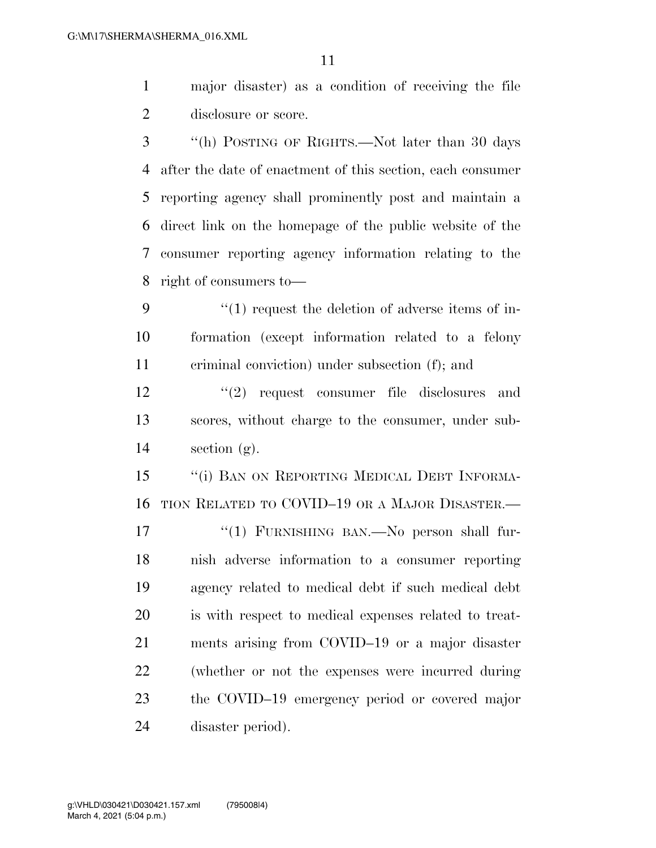major disaster) as a condition of receiving the file disclosure or score.

 ''(h) POSTING OF RIGHTS.—Not later than 30 days after the date of enactment of this section, each consumer reporting agency shall prominently post and maintain a direct link on the homepage of the public website of the consumer reporting agency information relating to the right of consumers to—

 ''(1) request the deletion of adverse items of in- formation (except information related to a felony criminal conviction) under subsection (f); and

12 ''(2) request consumer file disclosures and scores, without charge to the consumer, under sub-14 section  $(g)$ .

15 "(i) BAN ON REPORTING MEDICAL DEBT INFORMA-TION RELATED TO COVID–19 OR A MAJOR DISASTER.—

17 "(1) FURNISHING BAN.—No person shall fur- nish adverse information to a consumer reporting agency related to medical debt if such medical debt is with respect to medical expenses related to treat- ments arising from COVID–19 or a major disaster (whether or not the expenses were incurred during the COVID–19 emergency period or covered major disaster period).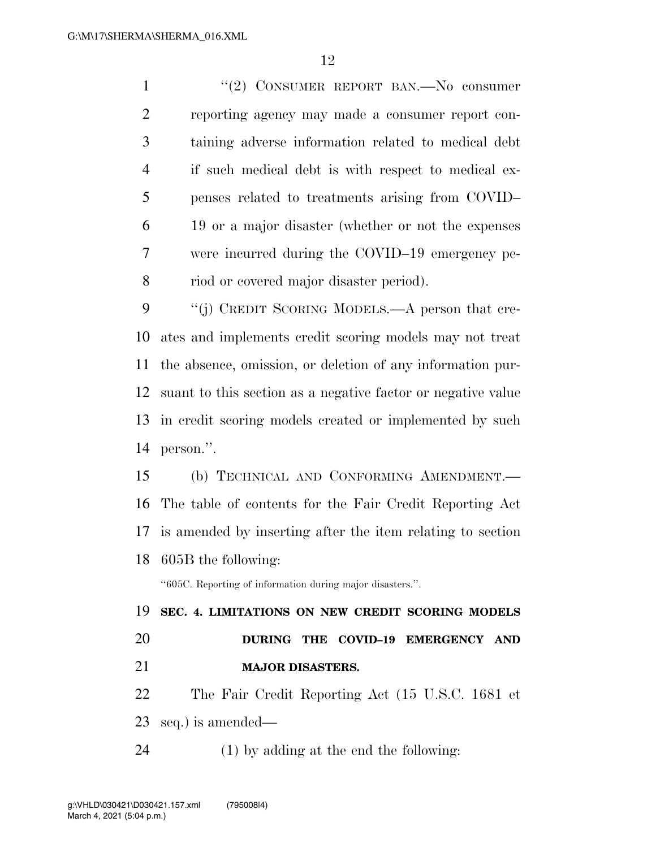1 "(2) CONSUMER REPORT BAN.—No consumer reporting agency may made a consumer report con- taining adverse information related to medical debt if such medical debt is with respect to medical ex- penses related to treatments arising from COVID– 19 or a major disaster (whether or not the expenses were incurred during the COVID–19 emergency pe-riod or covered major disaster period).

9 "(j) CREDIT SCORING MODELS.—A person that cre- ates and implements credit scoring models may not treat the absence, omission, or deletion of any information pur- suant to this section as a negative factor or negative value in credit scoring models created or implemented by such person.''.

 (b) TECHNICAL AND CONFORMING AMENDMENT.— The table of contents for the Fair Credit Reporting Act is amended by inserting after the item relating to section 605B the following:

''605C. Reporting of information during major disasters.''.

 **SEC. 4. LIMITATIONS ON NEW CREDIT SCORING MODELS DURING THE COVID–19 EMERGENCY AND MAJOR DISASTERS.** 

 The Fair Credit Reporting Act (15 U.S.C. 1681 et seq.) is amended—

(1) by adding at the end the following: